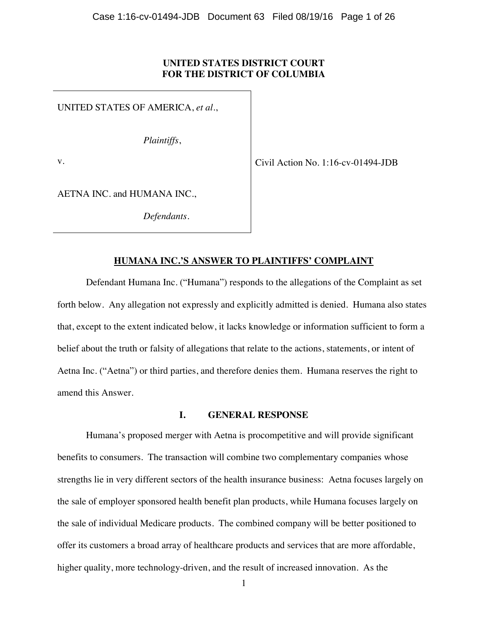## **UNITED STATES DISTRICT COURT FOR THE DISTRICT OF COLUMBIA**

UNITED STATES OF AMERICA, *et al.*,

*Plaintiffs*,

v.

Civil Action No. 1:16-cv-01494-JDB

AETNA INC. and HUMANA INC.,

*Defendants.* 

# **HUMANA INC.'S ANSWER TO PLAINTIFFS' COMPLAINT**

Defendant Humana Inc. ("Humana") responds to the allegations of the Complaint as set forth below. Any allegation not expressly and explicitly admitted is denied. Humana also states that, except to the extent indicated below, it lacks knowledge or information sufficient to form a belief about the truth or falsity of allegations that relate to the actions, statements, or intent of Aetna Inc. ("Aetna") or third parties, and therefore denies them. Humana reserves the right to amend this Answer.

## **I. GENERAL RESPONSE**

Humana's proposed merger with Aetna is procompetitive and will provide significant benefits to consumers. The transaction will combine two complementary companies whose strengths lie in very different sectors of the health insurance business: Aetna focuses largely on the sale of employer sponsored health benefit plan products, while Humana focuses largely on the sale of individual Medicare products. The combined company will be better positioned to offer its customers a broad array of healthcare products and services that are more affordable, higher quality, more technology-driven, and the result of increased innovation. As the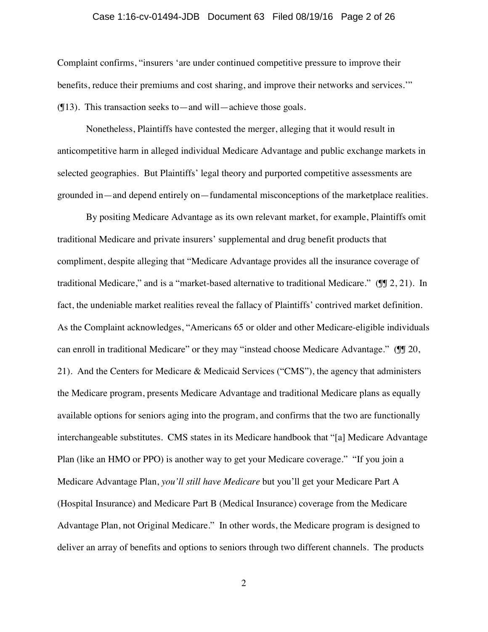### Case 1:16-cv-01494-JDB Document 63 Filed 08/19/16 Page 2 of 26

Complaint confirms, "insurers 'are under continued competitive pressure to improve their benefits, reduce their premiums and cost sharing, and improve their networks and services.'"  $($ [13). This transaction seeks to—and will—achieve those goals.

Nonetheless, Plaintiffs have contested the merger, alleging that it would result in anticompetitive harm in alleged individual Medicare Advantage and public exchange markets in selected geographies. But Plaintiffs' legal theory and purported competitive assessments are grounded in—and depend entirely on—fundamental misconceptions of the marketplace realities.

By positing Medicare Advantage as its own relevant market, for example, Plaintiffs omit traditional Medicare and private insurers' supplemental and drug benefit products that compliment, despite alleging that "Medicare Advantage provides all the insurance coverage of traditional Medicare," and is a "market-based alternative to traditional Medicare." (¶¶ 2, 21). In fact, the undeniable market realities reveal the fallacy of Plaintiffs' contrived market definition. As the Complaint acknowledges, "Americans 65 or older and other Medicare-eligible individuals can enroll in traditional Medicare" or they may "instead choose Medicare Advantage." (II 20, 21). And the Centers for Medicare & Medicaid Services ("CMS"), the agency that administers the Medicare program, presents Medicare Advantage and traditional Medicare plans as equally available options for seniors aging into the program, and confirms that the two are functionally interchangeable substitutes. CMS states in its Medicare handbook that "[a] Medicare Advantage Plan (like an HMO or PPO) is another way to get your Medicare coverage." "If you join a Medicare Advantage Plan, *you'll still have Medicare* but you'll get your Medicare Part A (Hospital Insurance) and Medicare Part B (Medical Insurance) coverage from the Medicare Advantage Plan, not Original Medicare." In other words, the Medicare program is designed to deliver an array of benefits and options to seniors through two different channels. The products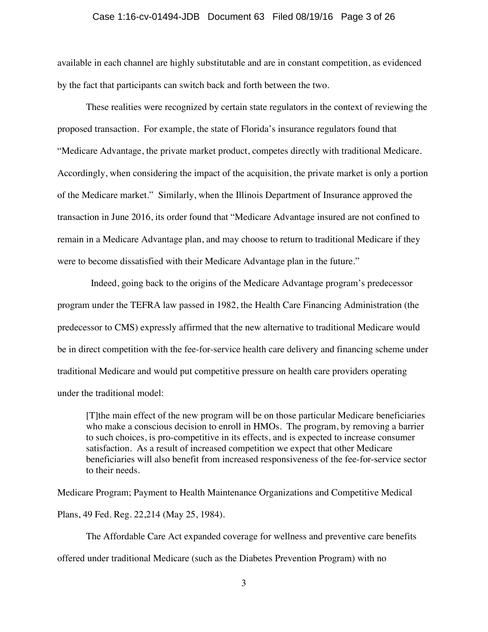#### Case 1:16-cv-01494-JDB Document 63 Filed 08/19/16 Page 3 of 26

available in each channel are highly substitutable and are in constant competition, as evidenced by the fact that participants can switch back and forth between the two.

These realities were recognized by certain state regulators in the context of reviewing the proposed transaction. For example, the state of Florida's insurance regulators found that "Medicare Advantage, the private market product, competes directly with traditional Medicare. Accordingly, when considering the impact of the acquisition, the private market is only a portion of the Medicare market." Similarly, when the Illinois Department of Insurance approved the transaction in June 2016, its order found that "Medicare Advantage insured are not confined to remain in a Medicare Advantage plan, and may choose to return to traditional Medicare if they were to become dissatisfied with their Medicare Advantage plan in the future."

 Indeed, going back to the origins of the Medicare Advantage program's predecessor program under the TEFRA law passed in 1982, the Health Care Financing Administration (the predecessor to CMS) expressly affirmed that the new alternative to traditional Medicare would be in direct competition with the fee-for-service health care delivery and financing scheme under traditional Medicare and would put competitive pressure on health care providers operating under the traditional model:

[T]the main effect of the new program will be on those particular Medicare beneficiaries who make a conscious decision to enroll in HMOs. The program, by removing a barrier to such choices, is pro-competitive in its effects, and is expected to increase consumer satisfaction. As a result of increased competition we expect that other Medicare beneficiaries will also benefit from increased responsiveness of the fee-for-service sector to their needs.

Medicare Program; Payment to Health Maintenance Organizations and Competitive Medical Plans, 49 Fed. Reg. 22,214 (May 25, 1984).

The Affordable Care Act expanded coverage for wellness and preventive care benefits offered under traditional Medicare (such as the Diabetes Prevention Program) with no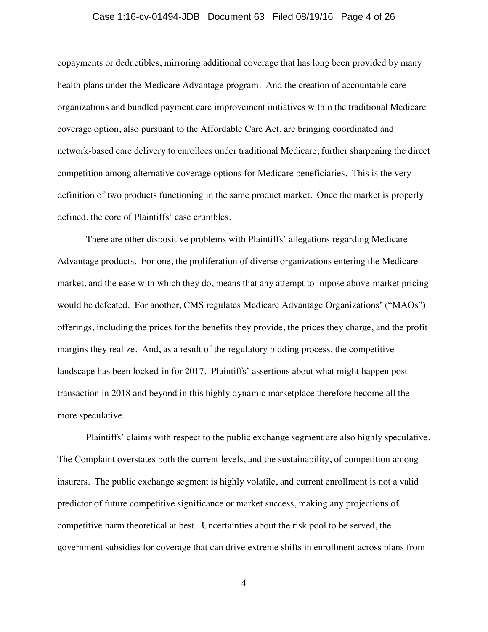#### Case 1:16-cv-01494-JDB Document 63 Filed 08/19/16 Page 4 of 26

copayments or deductibles, mirroring additional coverage that has long been provided by many health plans under the Medicare Advantage program. And the creation of accountable care organizations and bundled payment care improvement initiatives within the traditional Medicare coverage option, also pursuant to the Affordable Care Act, are bringing coordinated and network-based care delivery to enrollees under traditional Medicare, further sharpening the direct competition among alternative coverage options for Medicare beneficiaries. This is the very definition of two products functioning in the same product market. Once the market is properly defined, the core of Plaintiffs' case crumbles.

There are other dispositive problems with Plaintiffs' allegations regarding Medicare Advantage products. For one, the proliferation of diverse organizations entering the Medicare market, and the ease with which they do, means that any attempt to impose above-market pricing would be defeated. For another, CMS regulates Medicare Advantage Organizations' ("MAOs") offerings, including the prices for the benefits they provide, the prices they charge, and the profit margins they realize. And, as a result of the regulatory bidding process, the competitive landscape has been locked-in for 2017. Plaintiffs' assertions about what might happen posttransaction in 2018 and beyond in this highly dynamic marketplace therefore become all the more speculative.

Plaintiffs' claims with respect to the public exchange segment are also highly speculative. The Complaint overstates both the current levels, and the sustainability, of competition among insurers. The public exchange segment is highly volatile, and current enrollment is not a valid predictor of future competitive significance or market success, making any projections of competitive harm theoretical at best. Uncertainties about the risk pool to be served, the government subsidies for coverage that can drive extreme shifts in enrollment across plans from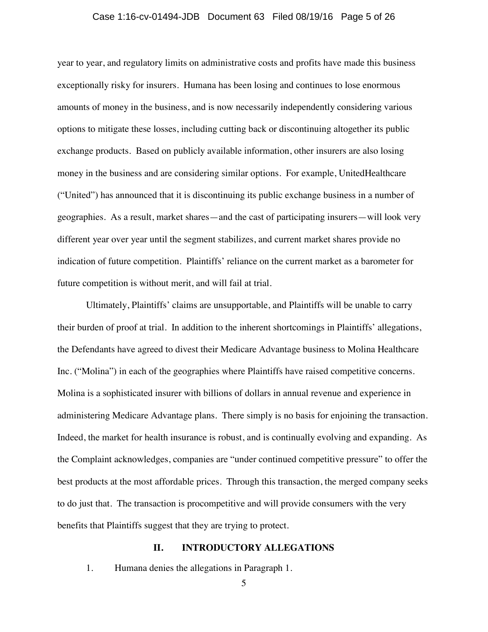#### Case 1:16-cv-01494-JDB Document 63 Filed 08/19/16 Page 5 of 26

year to year, and regulatory limits on administrative costs and profits have made this business exceptionally risky for insurers. Humana has been losing and continues to lose enormous amounts of money in the business, and is now necessarily independently considering various options to mitigate these losses, including cutting back or discontinuing altogether its public exchange products. Based on publicly available information, other insurers are also losing money in the business and are considering similar options. For example, UnitedHealthcare ("United") has announced that it is discontinuing its public exchange business in a number of geographies. As a result, market shares—and the cast of participating insurers—will look very different year over year until the segment stabilizes, and current market shares provide no indication of future competition. Plaintiffs' reliance on the current market as a barometer for future competition is without merit, and will fail at trial.

Ultimately, Plaintiffs' claims are unsupportable, and Plaintiffs will be unable to carry their burden of proof at trial. In addition to the inherent shortcomings in Plaintiffs' allegations, the Defendants have agreed to divest their Medicare Advantage business to Molina Healthcare Inc. ("Molina") in each of the geographies where Plaintiffs have raised competitive concerns. Molina is a sophisticated insurer with billions of dollars in annual revenue and experience in administering Medicare Advantage plans. There simply is no basis for enjoining the transaction. Indeed, the market for health insurance is robust, and is continually evolving and expanding. As the Complaint acknowledges, companies are "under continued competitive pressure" to offer the best products at the most affordable prices. Through this transaction, the merged company seeks to do just that. The transaction is procompetitive and will provide consumers with the very benefits that Plaintiffs suggest that they are trying to protect.

#### **II. INTRODUCTORY ALLEGATIONS**

1. Humana denies the allegations in Paragraph 1.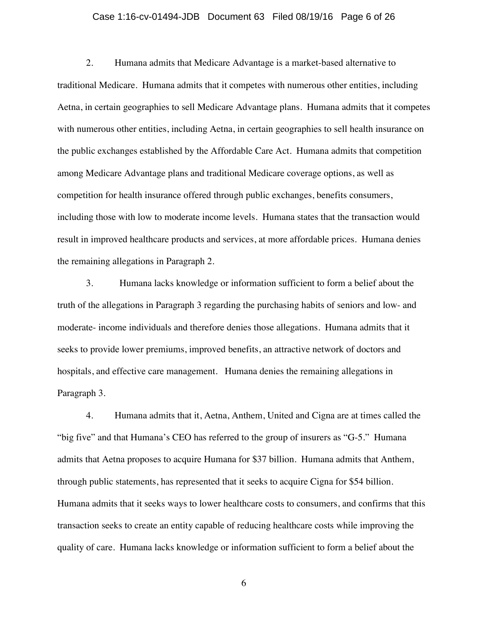#### Case 1:16-cv-01494-JDB Document 63 Filed 08/19/16 Page 6 of 26

2. Humana admits that Medicare Advantage is a market-based alternative to traditional Medicare. Humana admits that it competes with numerous other entities, including Aetna, in certain geographies to sell Medicare Advantage plans. Humana admits that it competes with numerous other entities, including Aetna, in certain geographies to sell health insurance on the public exchanges established by the Affordable Care Act. Humana admits that competition among Medicare Advantage plans and traditional Medicare coverage options, as well as competition for health insurance offered through public exchanges, benefits consumers, including those with low to moderate income levels. Humana states that the transaction would result in improved healthcare products and services, at more affordable prices. Humana denies the remaining allegations in Paragraph 2.

3. Humana lacks knowledge or information sufficient to form a belief about the truth of the allegations in Paragraph 3 regarding the purchasing habits of seniors and low- and moderate- income individuals and therefore denies those allegations. Humana admits that it seeks to provide lower premiums, improved benefits, an attractive network of doctors and hospitals, and effective care management. Humana denies the remaining allegations in Paragraph 3.

4. Humana admits that it, Aetna, Anthem, United and Cigna are at times called the "big five" and that Humana's CEO has referred to the group of insurers as "G-5." Humana admits that Aetna proposes to acquire Humana for \$37 billion. Humana admits that Anthem, through public statements, has represented that it seeks to acquire Cigna for \$54 billion. Humana admits that it seeks ways to lower healthcare costs to consumers, and confirms that this transaction seeks to create an entity capable of reducing healthcare costs while improving the quality of care. Humana lacks knowledge or information sufficient to form a belief about the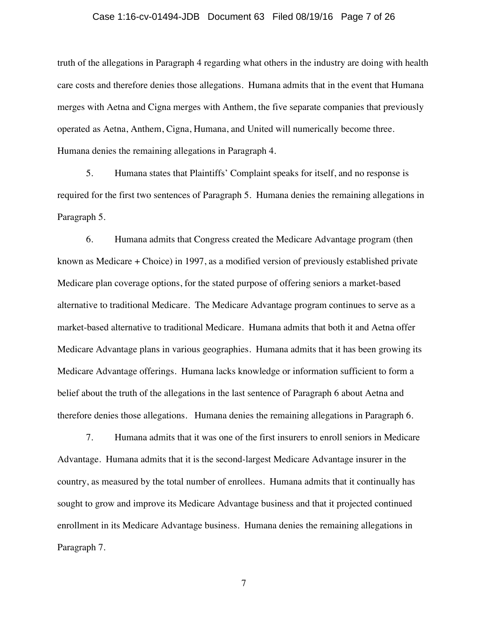#### Case 1:16-cv-01494-JDB Document 63 Filed 08/19/16 Page 7 of 26

truth of the allegations in Paragraph 4 regarding what others in the industry are doing with health care costs and therefore denies those allegations. Humana admits that in the event that Humana merges with Aetna and Cigna merges with Anthem, the five separate companies that previously operated as Aetna, Anthem, Cigna, Humana, and United will numerically become three. Humana denies the remaining allegations in Paragraph 4.

5. Humana states that Plaintiffs' Complaint speaks for itself, and no response is required for the first two sentences of Paragraph 5. Humana denies the remaining allegations in Paragraph 5.

6. Humana admits that Congress created the Medicare Advantage program (then known as Medicare + Choice) in 1997, as a modified version of previously established private Medicare plan coverage options, for the stated purpose of offering seniors a market-based alternative to traditional Medicare. The Medicare Advantage program continues to serve as a market-based alternative to traditional Medicare. Humana admits that both it and Aetna offer Medicare Advantage plans in various geographies. Humana admits that it has been growing its Medicare Advantage offerings. Humana lacks knowledge or information sufficient to form a belief about the truth of the allegations in the last sentence of Paragraph 6 about Aetna and therefore denies those allegations. Humana denies the remaining allegations in Paragraph 6.

7. Humana admits that it was one of the first insurers to enroll seniors in Medicare Advantage. Humana admits that it is the second-largest Medicare Advantage insurer in the country, as measured by the total number of enrollees. Humana admits that it continually has sought to grow and improve its Medicare Advantage business and that it projected continued enrollment in its Medicare Advantage business. Humana denies the remaining allegations in Paragraph 7.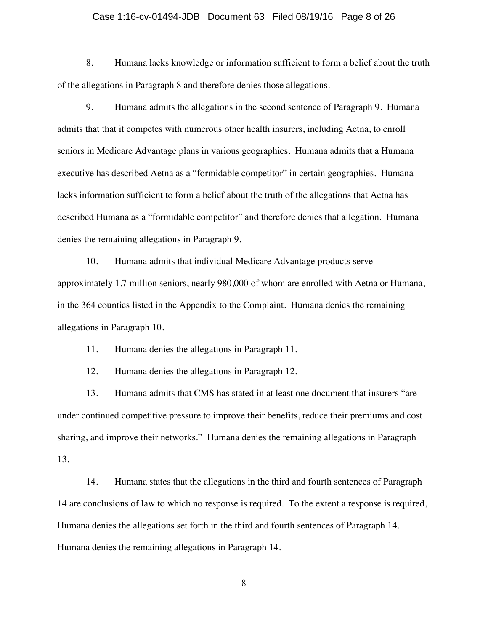#### Case 1:16-cv-01494-JDB Document 63 Filed 08/19/16 Page 8 of 26

8. Humana lacks knowledge or information sufficient to form a belief about the truth of the allegations in Paragraph 8 and therefore denies those allegations.

9. Humana admits the allegations in the second sentence of Paragraph 9. Humana admits that that it competes with numerous other health insurers, including Aetna, to enroll seniors in Medicare Advantage plans in various geographies. Humana admits that a Humana executive has described Aetna as a "formidable competitor" in certain geographies. Humana lacks information sufficient to form a belief about the truth of the allegations that Aetna has described Humana as a "formidable competitor" and therefore denies that allegation. Humana denies the remaining allegations in Paragraph 9.

10. Humana admits that individual Medicare Advantage products serve approximately 1.7 million seniors, nearly 980,000 of whom are enrolled with Aetna or Humana, in the 364 counties listed in the Appendix to the Complaint. Humana denies the remaining allegations in Paragraph 10.

11. Humana denies the allegations in Paragraph 11.

12. Humana denies the allegations in Paragraph 12.

13. Humana admits that CMS has stated in at least one document that insurers "are under continued competitive pressure to improve their benefits, reduce their premiums and cost sharing, and improve their networks." Humana denies the remaining allegations in Paragraph 13.

14. Humana states that the allegations in the third and fourth sentences of Paragraph 14 are conclusions of law to which no response is required. To the extent a response is required, Humana denies the allegations set forth in the third and fourth sentences of Paragraph 14. Humana denies the remaining allegations in Paragraph 14.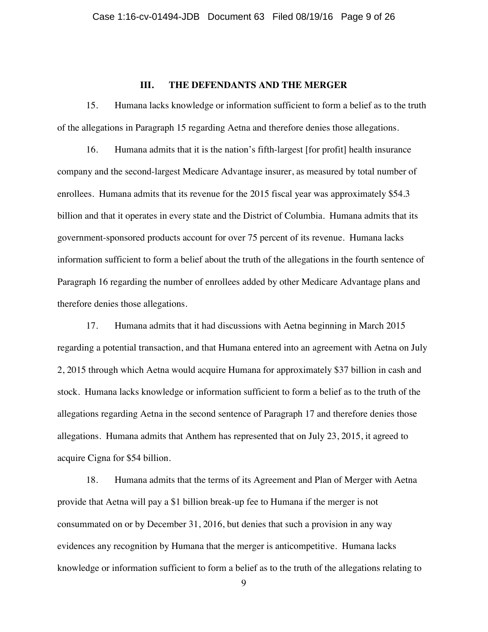## **III. THE DEFENDANTS AND THE MERGER**

15. Humana lacks knowledge or information sufficient to form a belief as to the truth of the allegations in Paragraph 15 regarding Aetna and therefore denies those allegations.

16. Humana admits that it is the nation's fifth-largest [for profit] health insurance company and the second-largest Medicare Advantage insurer, as measured by total number of enrollees. Humana admits that its revenue for the 2015 fiscal year was approximately \$54.3 billion and that it operates in every state and the District of Columbia. Humana admits that its government-sponsored products account for over 75 percent of its revenue. Humana lacks information sufficient to form a belief about the truth of the allegations in the fourth sentence of Paragraph 16 regarding the number of enrollees added by other Medicare Advantage plans and therefore denies those allegations.

17. Humana admits that it had discussions with Aetna beginning in March 2015 regarding a potential transaction, and that Humana entered into an agreement with Aetna on July 2, 2015 through which Aetna would acquire Humana for approximately \$37 billion in cash and stock. Humana lacks knowledge or information sufficient to form a belief as to the truth of the allegations regarding Aetna in the second sentence of Paragraph 17 and therefore denies those allegations. Humana admits that Anthem has represented that on July 23, 2015, it agreed to acquire Cigna for \$54 billion.

18. Humana admits that the terms of its Agreement and Plan of Merger with Aetna provide that Aetna will pay a \$1 billion break-up fee to Humana if the merger is not consummated on or by December 31, 2016, but denies that such a provision in any way evidences any recognition by Humana that the merger is anticompetitive. Humana lacks knowledge or information sufficient to form a belief as to the truth of the allegations relating to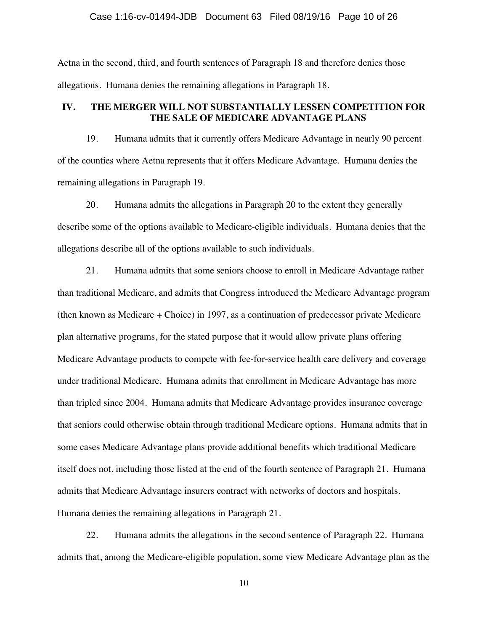### Case 1:16-cv-01494-JDB Document 63 Filed 08/19/16 Page 10 of 26

Aetna in the second, third, and fourth sentences of Paragraph 18 and therefore denies those allegations. Humana denies the remaining allegations in Paragraph 18.

# **IV. THE MERGER WILL NOT SUBSTANTIALLY LESSEN COMPETITION FOR THE SALE OF MEDICARE ADVANTAGE PLANS**

19. Humana admits that it currently offers Medicare Advantage in nearly 90 percent of the counties where Aetna represents that it offers Medicare Advantage. Humana denies the remaining allegations in Paragraph 19.

20. Humana admits the allegations in Paragraph 20 to the extent they generally describe some of the options available to Medicare-eligible individuals. Humana denies that the allegations describe all of the options available to such individuals.

21. Humana admits that some seniors choose to enroll in Medicare Advantage rather than traditional Medicare, and admits that Congress introduced the Medicare Advantage program (then known as Medicare + Choice) in 1997, as a continuation of predecessor private Medicare plan alternative programs, for the stated purpose that it would allow private plans offering Medicare Advantage products to compete with fee-for-service health care delivery and coverage under traditional Medicare. Humana admits that enrollment in Medicare Advantage has more than tripled since 2004. Humana admits that Medicare Advantage provides insurance coverage that seniors could otherwise obtain through traditional Medicare options. Humana admits that in some cases Medicare Advantage plans provide additional benefits which traditional Medicare itself does not, including those listed at the end of the fourth sentence of Paragraph 21. Humana admits that Medicare Advantage insurers contract with networks of doctors and hospitals. Humana denies the remaining allegations in Paragraph 21.

22. Humana admits the allegations in the second sentence of Paragraph 22. Humana admits that, among the Medicare-eligible population, some view Medicare Advantage plan as the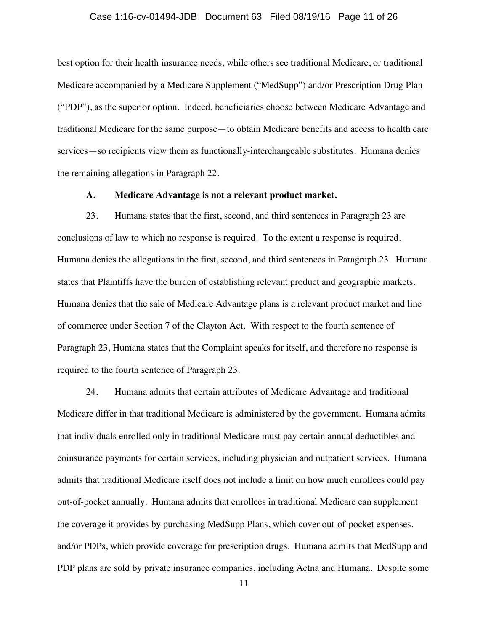#### Case 1:16-cv-01494-JDB Document 63 Filed 08/19/16 Page 11 of 26

best option for their health insurance needs, while others see traditional Medicare, or traditional Medicare accompanied by a Medicare Supplement ("MedSupp") and/or Prescription Drug Plan ("PDP"), as the superior option. Indeed, beneficiaries choose between Medicare Advantage and traditional Medicare for the same purpose—to obtain Medicare benefits and access to health care services—so recipients view them as functionally-interchangeable substitutes. Humana denies the remaining allegations in Paragraph 22.

### **A. Medicare Advantage is not a relevant product market.**

23. Humana states that the first, second, and third sentences in Paragraph 23 are conclusions of law to which no response is required. To the extent a response is required, Humana denies the allegations in the first, second, and third sentences in Paragraph 23. Humana states that Plaintiffs have the burden of establishing relevant product and geographic markets. Humana denies that the sale of Medicare Advantage plans is a relevant product market and line of commerce under Section 7 of the Clayton Act. With respect to the fourth sentence of Paragraph 23, Humana states that the Complaint speaks for itself, and therefore no response is required to the fourth sentence of Paragraph 23.

24. Humana admits that certain attributes of Medicare Advantage and traditional Medicare differ in that traditional Medicare is administered by the government. Humana admits that individuals enrolled only in traditional Medicare must pay certain annual deductibles and coinsurance payments for certain services, including physician and outpatient services. Humana admits that traditional Medicare itself does not include a limit on how much enrollees could pay out-of-pocket annually. Humana admits that enrollees in traditional Medicare can supplement the coverage it provides by purchasing MedSupp Plans, which cover out-of-pocket expenses, and/or PDPs, which provide coverage for prescription drugs. Humana admits that MedSupp and PDP plans are sold by private insurance companies, including Aetna and Humana. Despite some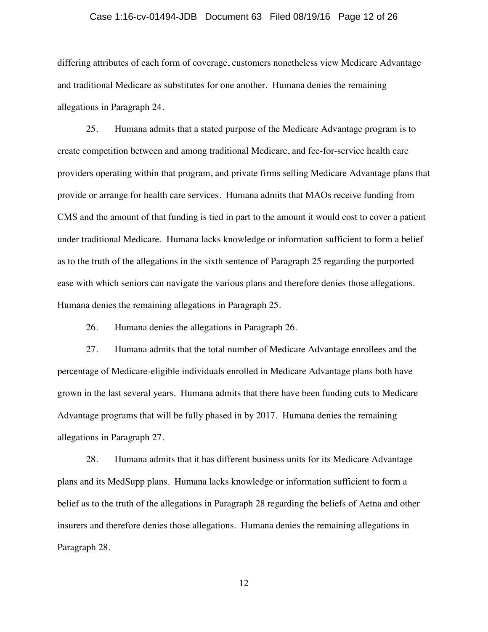#### Case 1:16-cv-01494-JDB Document 63 Filed 08/19/16 Page 12 of 26

differing attributes of each form of coverage, customers nonetheless view Medicare Advantage and traditional Medicare as substitutes for one another. Humana denies the remaining allegations in Paragraph 24.

25. Humana admits that a stated purpose of the Medicare Advantage program is to create competition between and among traditional Medicare, and fee-for-service health care providers operating within that program, and private firms selling Medicare Advantage plans that provide or arrange for health care services. Humana admits that MAOs receive funding from CMS and the amount of that funding is tied in part to the amount it would cost to cover a patient under traditional Medicare. Humana lacks knowledge or information sufficient to form a belief as to the truth of the allegations in the sixth sentence of Paragraph 25 regarding the purported ease with which seniors can navigate the various plans and therefore denies those allegations. Humana denies the remaining allegations in Paragraph 25.

26. Humana denies the allegations in Paragraph 26.

27. Humana admits that the total number of Medicare Advantage enrollees and the percentage of Medicare-eligible individuals enrolled in Medicare Advantage plans both have grown in the last several years. Humana admits that there have been funding cuts to Medicare Advantage programs that will be fully phased in by 2017. Humana denies the remaining allegations in Paragraph 27.

28. Humana admits that it has different business units for its Medicare Advantage plans and its MedSupp plans. Humana lacks knowledge or information sufficient to form a belief as to the truth of the allegations in Paragraph 28 regarding the beliefs of Aetna and other insurers and therefore denies those allegations. Humana denies the remaining allegations in Paragraph 28.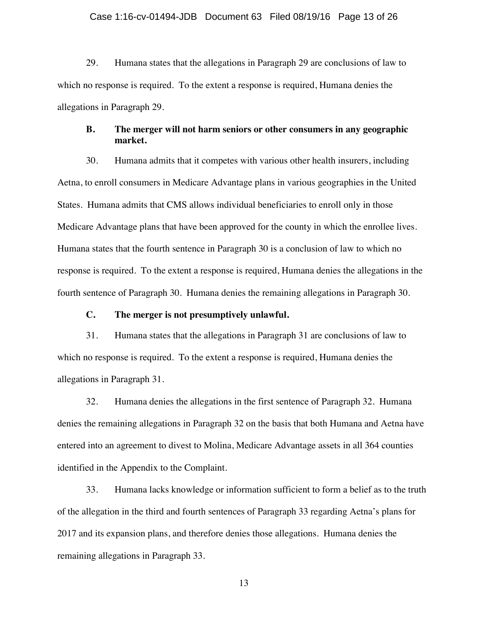#### Case 1:16-cv-01494-JDB Document 63 Filed 08/19/16 Page 13 of 26

29. Humana states that the allegations in Paragraph 29 are conclusions of law to which no response is required. To the extent a response is required, Humana denies the allegations in Paragraph 29.

## **B. The merger will not harm seniors or other consumers in any geographic market.**

30. Humana admits that it competes with various other health insurers, including Aetna, to enroll consumers in Medicare Advantage plans in various geographies in the United States. Humana admits that CMS allows individual beneficiaries to enroll only in those Medicare Advantage plans that have been approved for the county in which the enrollee lives. Humana states that the fourth sentence in Paragraph 30 is a conclusion of law to which no response is required. To the extent a response is required, Humana denies the allegations in the fourth sentence of Paragraph 30. Humana denies the remaining allegations in Paragraph 30.

### **C. The merger is not presumptively unlawful.**

31. Humana states that the allegations in Paragraph 31 are conclusions of law to which no response is required. To the extent a response is required, Humana denies the allegations in Paragraph 31.

32. Humana denies the allegations in the first sentence of Paragraph 32. Humana denies the remaining allegations in Paragraph 32 on the basis that both Humana and Aetna have entered into an agreement to divest to Molina, Medicare Advantage assets in all 364 counties identified in the Appendix to the Complaint.

33. Humana lacks knowledge or information sufficient to form a belief as to the truth of the allegation in the third and fourth sentences of Paragraph 33 regarding Aetna's plans for 2017 and its expansion plans, and therefore denies those allegations. Humana denies the remaining allegations in Paragraph 33.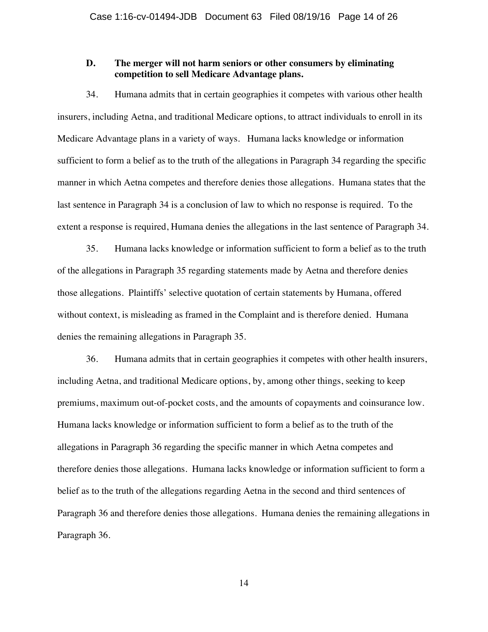# **D. The merger will not harm seniors or other consumers by eliminating competition to sell Medicare Advantage plans.**

34. Humana admits that in certain geographies it competes with various other health insurers, including Aetna, and traditional Medicare options, to attract individuals to enroll in its Medicare Advantage plans in a variety of ways. Humana lacks knowledge or information sufficient to form a belief as to the truth of the allegations in Paragraph 34 regarding the specific manner in which Aetna competes and therefore denies those allegations. Humana states that the last sentence in Paragraph 34 is a conclusion of law to which no response is required. To the extent a response is required, Humana denies the allegations in the last sentence of Paragraph 34.

35. Humana lacks knowledge or information sufficient to form a belief as to the truth of the allegations in Paragraph 35 regarding statements made by Aetna and therefore denies those allegations. Plaintiffs' selective quotation of certain statements by Humana, offered without context, is misleading as framed in the Complaint and is therefore denied. Humana denies the remaining allegations in Paragraph 35.

36. Humana admits that in certain geographies it competes with other health insurers, including Aetna, and traditional Medicare options, by, among other things, seeking to keep premiums, maximum out-of-pocket costs, and the amounts of copayments and coinsurance low. Humana lacks knowledge or information sufficient to form a belief as to the truth of the allegations in Paragraph 36 regarding the specific manner in which Aetna competes and therefore denies those allegations. Humana lacks knowledge or information sufficient to form a belief as to the truth of the allegations regarding Aetna in the second and third sentences of Paragraph 36 and therefore denies those allegations. Humana denies the remaining allegations in Paragraph 36.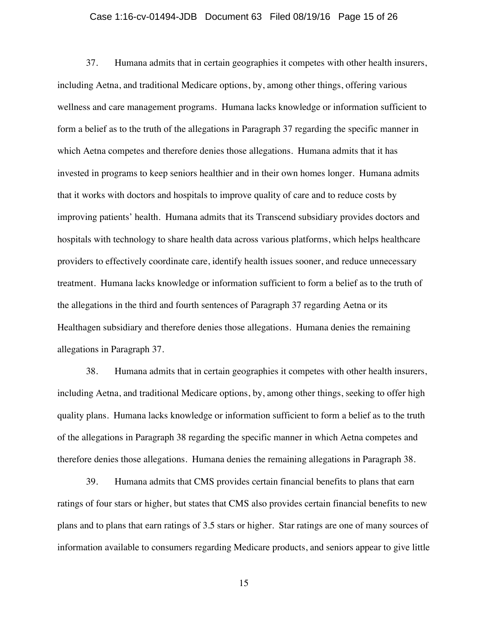#### Case 1:16-cv-01494-JDB Document 63 Filed 08/19/16 Page 15 of 26

37. Humana admits that in certain geographies it competes with other health insurers, including Aetna, and traditional Medicare options, by, among other things, offering various wellness and care management programs. Humana lacks knowledge or information sufficient to form a belief as to the truth of the allegations in Paragraph 37 regarding the specific manner in which Aetna competes and therefore denies those allegations. Humana admits that it has invested in programs to keep seniors healthier and in their own homes longer. Humana admits that it works with doctors and hospitals to improve quality of care and to reduce costs by improving patients' health. Humana admits that its Transcend subsidiary provides doctors and hospitals with technology to share health data across various platforms, which helps healthcare providers to effectively coordinate care, identify health issues sooner, and reduce unnecessary treatment. Humana lacks knowledge or information sufficient to form a belief as to the truth of the allegations in the third and fourth sentences of Paragraph 37 regarding Aetna or its Healthagen subsidiary and therefore denies those allegations. Humana denies the remaining allegations in Paragraph 37.

38. Humana admits that in certain geographies it competes with other health insurers, including Aetna, and traditional Medicare options, by, among other things, seeking to offer high quality plans. Humana lacks knowledge or information sufficient to form a belief as to the truth of the allegations in Paragraph 38 regarding the specific manner in which Aetna competes and therefore denies those allegations. Humana denies the remaining allegations in Paragraph 38.

39. Humana admits that CMS provides certain financial benefits to plans that earn ratings of four stars or higher, but states that CMS also provides certain financial benefits to new plans and to plans that earn ratings of 3.5 stars or higher. Star ratings are one of many sources of information available to consumers regarding Medicare products, and seniors appear to give little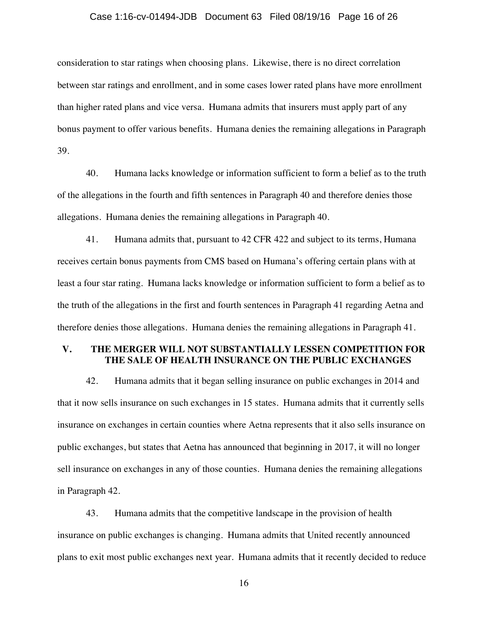#### Case 1:16-cv-01494-JDB Document 63 Filed 08/19/16 Page 16 of 26

consideration to star ratings when choosing plans. Likewise, there is no direct correlation between star ratings and enrollment, and in some cases lower rated plans have more enrollment than higher rated plans and vice versa. Humana admits that insurers must apply part of any bonus payment to offer various benefits. Humana denies the remaining allegations in Paragraph 39.

40. Humana lacks knowledge or information sufficient to form a belief as to the truth of the allegations in the fourth and fifth sentences in Paragraph 40 and therefore denies those allegations. Humana denies the remaining allegations in Paragraph 40.

41. Humana admits that, pursuant to 42 CFR 422 and subject to its terms, Humana receives certain bonus payments from CMS based on Humana's offering certain plans with at least a four star rating. Humana lacks knowledge or information sufficient to form a belief as to the truth of the allegations in the first and fourth sentences in Paragraph 41 regarding Aetna and therefore denies those allegations. Humana denies the remaining allegations in Paragraph 41.

## **V. THE MERGER WILL NOT SUBSTANTIALLY LESSEN COMPETITION FOR THE SALE OF HEALTH INSURANCE ON THE PUBLIC EXCHANGES**

42. Humana admits that it began selling insurance on public exchanges in 2014 and that it now sells insurance on such exchanges in 15 states. Humana admits that it currently sells insurance on exchanges in certain counties where Aetna represents that it also sells insurance on public exchanges, but states that Aetna has announced that beginning in 2017, it will no longer sell insurance on exchanges in any of those counties. Humana denies the remaining allegations in Paragraph 42.

43. Humana admits that the competitive landscape in the provision of health insurance on public exchanges is changing. Humana admits that United recently announced plans to exit most public exchanges next year. Humana admits that it recently decided to reduce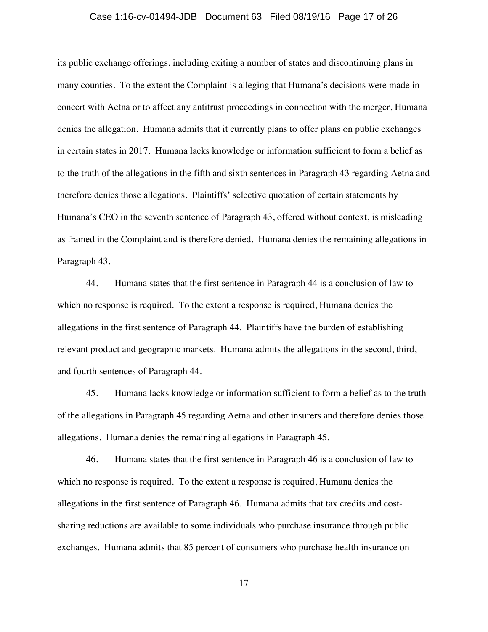#### Case 1:16-cv-01494-JDB Document 63 Filed 08/19/16 Page 17 of 26

its public exchange offerings, including exiting a number of states and discontinuing plans in many counties. To the extent the Complaint is alleging that Humana's decisions were made in concert with Aetna or to affect any antitrust proceedings in connection with the merger, Humana denies the allegation. Humana admits that it currently plans to offer plans on public exchanges in certain states in 2017. Humana lacks knowledge or information sufficient to form a belief as to the truth of the allegations in the fifth and sixth sentences in Paragraph 43 regarding Aetna and therefore denies those allegations. Plaintiffs' selective quotation of certain statements by Humana's CEO in the seventh sentence of Paragraph 43, offered without context, is misleading as framed in the Complaint and is therefore denied. Humana denies the remaining allegations in Paragraph 43.

44. Humana states that the first sentence in Paragraph 44 is a conclusion of law to which no response is required. To the extent a response is required, Humana denies the allegations in the first sentence of Paragraph 44. Plaintiffs have the burden of establishing relevant product and geographic markets. Humana admits the allegations in the second, third, and fourth sentences of Paragraph 44.

45. Humana lacks knowledge or information sufficient to form a belief as to the truth of the allegations in Paragraph 45 regarding Aetna and other insurers and therefore denies those allegations. Humana denies the remaining allegations in Paragraph 45.

46. Humana states that the first sentence in Paragraph 46 is a conclusion of law to which no response is required. To the extent a response is required, Humana denies the allegations in the first sentence of Paragraph 46. Humana admits that tax credits and costsharing reductions are available to some individuals who purchase insurance through public exchanges. Humana admits that 85 percent of consumers who purchase health insurance on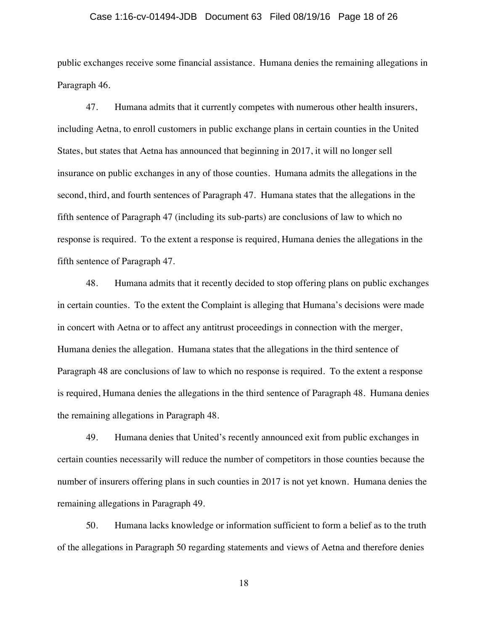#### Case 1:16-cv-01494-JDB Document 63 Filed 08/19/16 Page 18 of 26

public exchanges receive some financial assistance. Humana denies the remaining allegations in Paragraph 46.

47. Humana admits that it currently competes with numerous other health insurers, including Aetna, to enroll customers in public exchange plans in certain counties in the United States, but states that Aetna has announced that beginning in 2017, it will no longer sell insurance on public exchanges in any of those counties. Humana admits the allegations in the second, third, and fourth sentences of Paragraph 47. Humana states that the allegations in the fifth sentence of Paragraph 47 (including its sub-parts) are conclusions of law to which no response is required. To the extent a response is required, Humana denies the allegations in the fifth sentence of Paragraph 47.

48. Humana admits that it recently decided to stop offering plans on public exchanges in certain counties. To the extent the Complaint is alleging that Humana's decisions were made in concert with Aetna or to affect any antitrust proceedings in connection with the merger, Humana denies the allegation. Humana states that the allegations in the third sentence of Paragraph 48 are conclusions of law to which no response is required. To the extent a response is required, Humana denies the allegations in the third sentence of Paragraph 48. Humana denies the remaining allegations in Paragraph 48.

49. Humana denies that United's recently announced exit from public exchanges in certain counties necessarily will reduce the number of competitors in those counties because the number of insurers offering plans in such counties in 2017 is not yet known. Humana denies the remaining allegations in Paragraph 49.

50. Humana lacks knowledge or information sufficient to form a belief as to the truth of the allegations in Paragraph 50 regarding statements and views of Aetna and therefore denies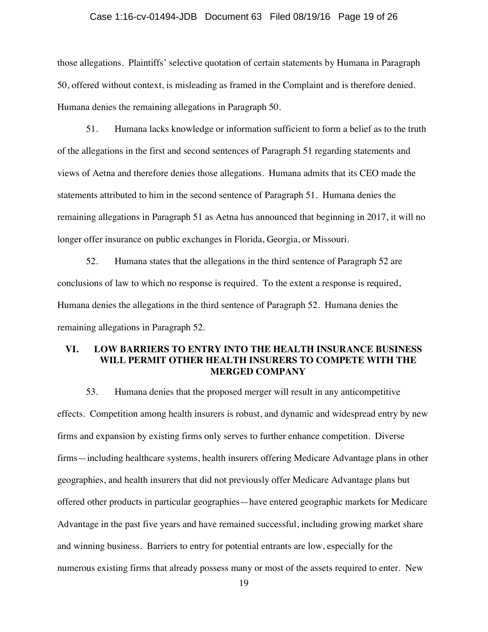#### Case 1:16-cv-01494-JDB Document 63 Filed 08/19/16 Page 19 of 26

those allegations. Plaintiffs' selective quotation of certain statements by Humana in Paragraph 50, offered without context, is misleading as framed in the Complaint and is therefore denied. Humana denies the remaining allegations in Paragraph 50.

51. Humana lacks knowledge or information sufficient to form a belief as to the truth of the allegations in the first and second sentences of Paragraph 51 regarding statements and views of Aetna and therefore denies those allegations. Humana admits that its CEO made the statements attributed to him in the second sentence of Paragraph 51. Humana denies the remaining allegations in Paragraph 51 as Aetna has announced that beginning in 2017, it will no longer offer insurance on public exchanges in Florida, Georgia, or Missouri.

52. Humana states that the allegations in the third sentence of Paragraph 52 are conclusions of law to which no response is required. To the extent a response is required, Humana denies the allegations in the third sentence of Paragraph 52. Humana denies the remaining allegations in Paragraph 52.

## **VI. LOW BARRIERS TO ENTRY INTO THE HEALTH INSURANCE BUSINESS WILL PERMIT OTHER HEALTH INSURERS TO COMPETE WITH THE MERGED COMPANY**

53. Humana denies that the proposed merger will result in any anticompetitive effects. Competition among health insurers is robust, and dynamic and widespread entry by new firms and expansion by existing firms only serves to further enhance competition. Diverse firms—including healthcare systems, health insurers offering Medicare Advantage plans in other geographies, and health insurers that did not previously offer Medicare Advantage plans but offered other products in particular geographies—have entered geographic markets for Medicare Advantage in the past five years and have remained successful, including growing market share and winning business. Barriers to entry for potential entrants are low, especially for the numerous existing firms that already possess many or most of the assets required to enter. New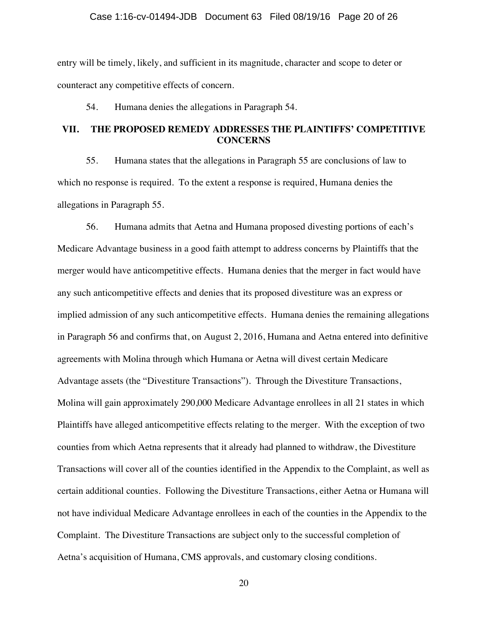### Case 1:16-cv-01494-JDB Document 63 Filed 08/19/16 Page 20 of 26

entry will be timely, likely, and sufficient in its magnitude, character and scope to deter or counteract any competitive effects of concern.

54. Humana denies the allegations in Paragraph 54.

# **VII. THE PROPOSED REMEDY ADDRESSES THE PLAINTIFFS' COMPETITIVE CONCERNS**

55. Humana states that the allegations in Paragraph 55 are conclusions of law to which no response is required. To the extent a response is required, Humana denies the allegations in Paragraph 55.

56. Humana admits that Aetna and Humana proposed divesting portions of each's Medicare Advantage business in a good faith attempt to address concerns by Plaintiffs that the merger would have anticompetitive effects. Humana denies that the merger in fact would have any such anticompetitive effects and denies that its proposed divestiture was an express or implied admission of any such anticompetitive effects. Humana denies the remaining allegations in Paragraph 56 and confirms that, on August 2, 2016, Humana and Aetna entered into definitive agreements with Molina through which Humana or Aetna will divest certain Medicare Advantage assets (the "Divestiture Transactions"). Through the Divestiture Transactions, Molina will gain approximately 290,000 Medicare Advantage enrollees in all 21 states in which Plaintiffs have alleged anticompetitive effects relating to the merger. With the exception of two counties from which Aetna represents that it already had planned to withdraw, the Divestiture Transactions will cover all of the counties identified in the Appendix to the Complaint, as well as certain additional counties. Following the Divestiture Transactions, either Aetna or Humana will not have individual Medicare Advantage enrollees in each of the counties in the Appendix to the Complaint. The Divestiture Transactions are subject only to the successful completion of Aetna's acquisition of Humana, CMS approvals, and customary closing conditions.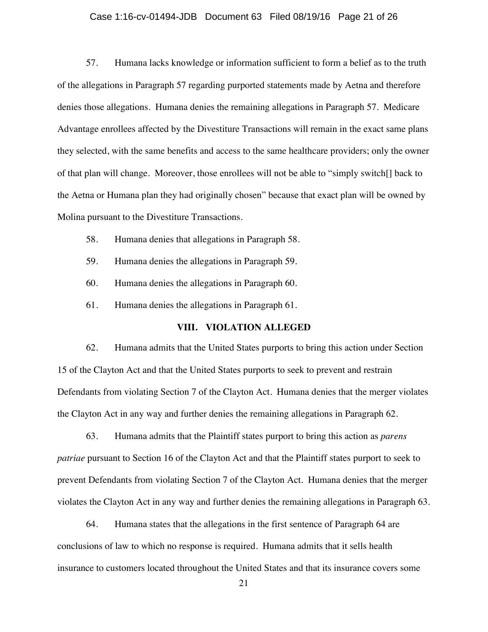#### Case 1:16-cv-01494-JDB Document 63 Filed 08/19/16 Page 21 of 26

57. Humana lacks knowledge or information sufficient to form a belief as to the truth of the allegations in Paragraph 57 regarding purported statements made by Aetna and therefore denies those allegations. Humana denies the remaining allegations in Paragraph 57. Medicare Advantage enrollees affected by the Divestiture Transactions will remain in the exact same plans they selected, with the same benefits and access to the same healthcare providers; only the owner of that plan will change. Moreover, those enrollees will not be able to "simply switch[] back to the Aetna or Humana plan they had originally chosen" because that exact plan will be owned by Molina pursuant to the Divestiture Transactions.

- 58. Humana denies that allegations in Paragraph 58.
- 59. Humana denies the allegations in Paragraph 59.
- 60. Humana denies the allegations in Paragraph 60.
- 61. Humana denies the allegations in Paragraph 61.

### **VIII. VIOLATION ALLEGED**

62. Humana admits that the United States purports to bring this action under Section 15 of the Clayton Act and that the United States purports to seek to prevent and restrain Defendants from violating Section 7 of the Clayton Act. Humana denies that the merger violates the Clayton Act in any way and further denies the remaining allegations in Paragraph 62.

63. Humana admits that the Plaintiff states purport to bring this action as *parens patriae* pursuant to Section 16 of the Clayton Act and that the Plaintiff states purport to seek to prevent Defendants from violating Section 7 of the Clayton Act. Humana denies that the merger violates the Clayton Act in any way and further denies the remaining allegations in Paragraph 63.

64. Humana states that the allegations in the first sentence of Paragraph 64 are conclusions of law to which no response is required. Humana admits that it sells health insurance to customers located throughout the United States and that its insurance covers some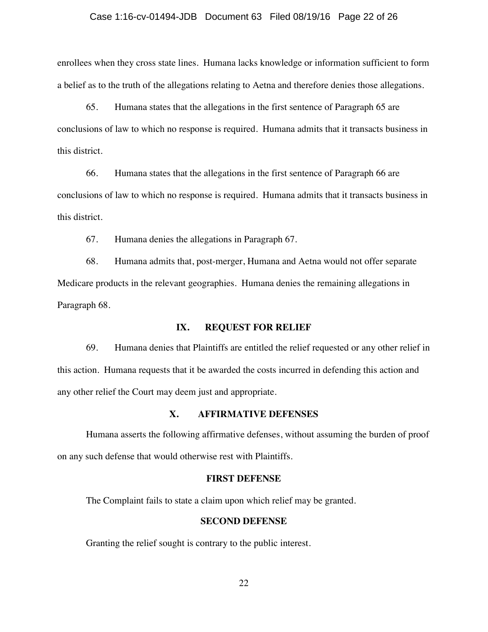#### Case 1:16-cv-01494-JDB Document 63 Filed 08/19/16 Page 22 of 26

enrollees when they cross state lines. Humana lacks knowledge or information sufficient to form a belief as to the truth of the allegations relating to Aetna and therefore denies those allegations.

65. Humana states that the allegations in the first sentence of Paragraph 65 are conclusions of law to which no response is required. Humana admits that it transacts business in this district.

66. Humana states that the allegations in the first sentence of Paragraph 66 are conclusions of law to which no response is required. Humana admits that it transacts business in this district.

67. Humana denies the allegations in Paragraph 67.

68. Humana admits that, post-merger, Humana and Aetna would not offer separate Medicare products in the relevant geographies. Humana denies the remaining allegations in Paragraph 68.

### **IX. REQUEST FOR RELIEF**

69. Humana denies that Plaintiffs are entitled the relief requested or any other relief in this action. Humana requests that it be awarded the costs incurred in defending this action and any other relief the Court may deem just and appropriate.

# **X. AFFIRMATIVE DEFENSES**

Humana asserts the following affirmative defenses, without assuming the burden of proof on any such defense that would otherwise rest with Plaintiffs.

### **FIRST DEFENSE**

The Complaint fails to state a claim upon which relief may be granted.

### **SECOND DEFENSE**

Granting the relief sought is contrary to the public interest.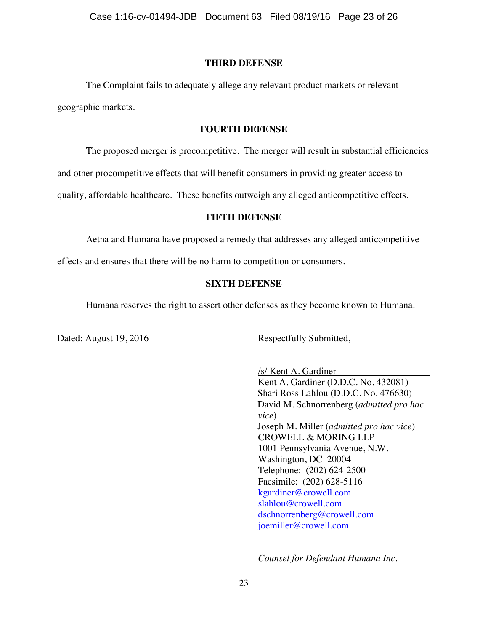### **THIRD DEFENSE**

The Complaint fails to adequately allege any relevant product markets or relevant geographic markets.

## **FOURTH DEFENSE**

The proposed merger is procompetitive. The merger will result in substantial efficiencies

and other procompetitive effects that will benefit consumers in providing greater access to

quality, affordable healthcare. These benefits outweigh any alleged anticompetitive effects.

### **FIFTH DEFENSE**

Aetna and Humana have proposed a remedy that addresses any alleged anticompetitive

effects and ensures that there will be no harm to competition or consumers.

### **SIXTH DEFENSE**

Humana reserves the right to assert other defenses as they become known to Humana.

Dated: August 19, 2016 Respectfully Submitted,

/s/ Kent A. Gardiner Kent A. Gardiner (D.D.C. No. 432081) Shari Ross Lahlou (D.D.C. No. 476630) David M. Schnorrenberg (*admitted pro hac vice*) Joseph M. Miller (*admitted pro hac vice*) CROWELL & MORING LLP 1001 Pennsylvania Avenue, N.W. Washington, DC 20004 Telephone: (202) 624-2500 Facsimile: (202) 628-5116 kgardiner@crowell.com slahlou@crowell.com dschnorrenberg@crowell.com joemiller@crowell.com

*Counsel for Defendant Humana Inc.*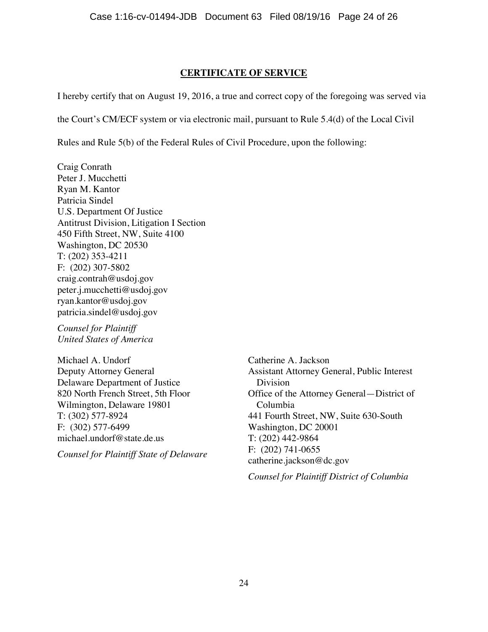# **CERTIFICATE OF SERVICE**

I hereby certify that on August 19, 2016, a true and correct copy of the foregoing was served via

the Court's CM/ECF system or via electronic mail, pursuant to Rule 5.4(d) of the Local Civil

Rules and Rule 5(b) of the Federal Rules of Civil Procedure, upon the following:

Craig Conrath Peter J. Mucchetti Ryan M. Kantor Patricia Sindel U.S. Department Of Justice Antitrust Division, Litigation I Section 450 Fifth Street, NW, Suite 4100 Washington, DC 20530 T: (202) 353-4211 F: (202) 307-5802 craig.contrah@usdoj.gov peter.j.mucchetti@usdoj.gov ryan.kantor@usdoj.gov patricia.sindel@usdoj.gov

*Counsel for Plaintiff United States of America*

Michael A. Undorf Deputy Attorney General Delaware Department of Justice 820 North French Street, 5th Floor Wilmington, Delaware 19801 T: (302) 577-8924 F: (302) 577-6499 michael.undorf@state.de.us

*Counsel for Plaintiff State of Delaware*

Catherine A. Jackson Assistant Attorney General, Public Interest Division Office of the Attorney General—District of Columbia 441 Fourth Street, NW, Suite 630-South Washington, DC 20001 T: (202) 442-9864 F: (202) 741-0655 catherine.jackson@dc.gov

*Counsel for Plaintiff District of Columbia*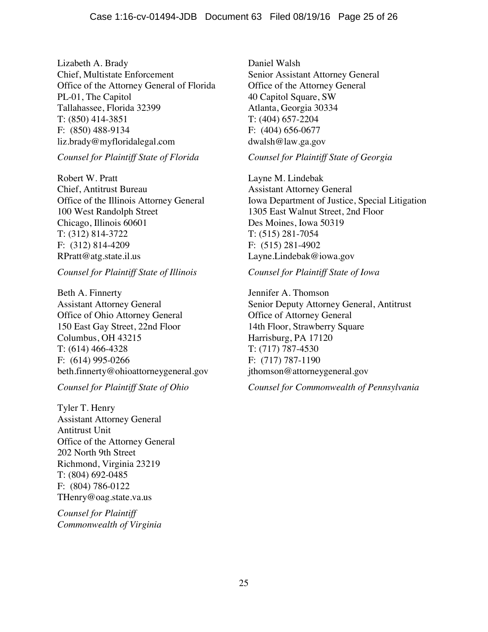Lizabeth A. Brady Chief, Multistate Enforcement Office of the Attorney General of Florida PL-01, The Capitol Tallahassee, Florida 32399 T: (850) 414-3851 F: (850) 488-9134 liz.brady@myfloridalegal.com

## *Counsel for Plaintiff State of Florida*

Robert W. Pratt Chief, Antitrust Bureau Office of the Illinois Attorney General 100 West Randolph Street Chicago, Illinois 60601 T: (312) 814-3722 F: (312) 814-4209 RPratt@atg.state.il.us

*Counsel for Plaintiff State of Illinois*

Beth A. Finnerty Assistant Attorney General Office of Ohio Attorney General 150 East Gay Street, 22nd Floor Columbus, OH 43215 T: (614) 466-4328 F: (614) 995-0266 beth.finnerty@ohioattorneygeneral.gov

# *Counsel for Plaintiff State of Ohio*

Tyler T. Henry Assistant Attorney General Antitrust Unit Office of the Attorney General 202 North 9th Street Richmond, Virginia 23219 T: (804) 692-0485 F: (804) 786-0122 THenry@oag.state.va.us

*Counsel for Plaintiff Commonwealth of Virginia* Daniel Walsh Senior Assistant Attorney General Office of the Attorney General 40 Capitol Square, SW Atlanta, Georgia 30334 T: (404) 657-2204 F: (404) 656-0677 dwalsh@law.ga.gov

*Counsel for Plaintiff State of Georgia*

Layne M. Lindebak Assistant Attorney General Iowa Department of Justice, Special Litigation 1305 East Walnut Street, 2nd Floor Des Moines, Iowa 50319 T: (515) 281-7054 F: (515) 281-4902 Layne.Lindebak@iowa.gov

# *Counsel for Plaintiff State of Iowa*

Jennifer A. Thomson Senior Deputy Attorney General, Antitrust Office of Attorney General 14th Floor, Strawberry Square Harrisburg, PA 17120 T: (717) 787-4530 F: (717) 787-1190 jthomson@attorneygeneral.gov

*Counsel for Commonwealth of Pennsylvania*